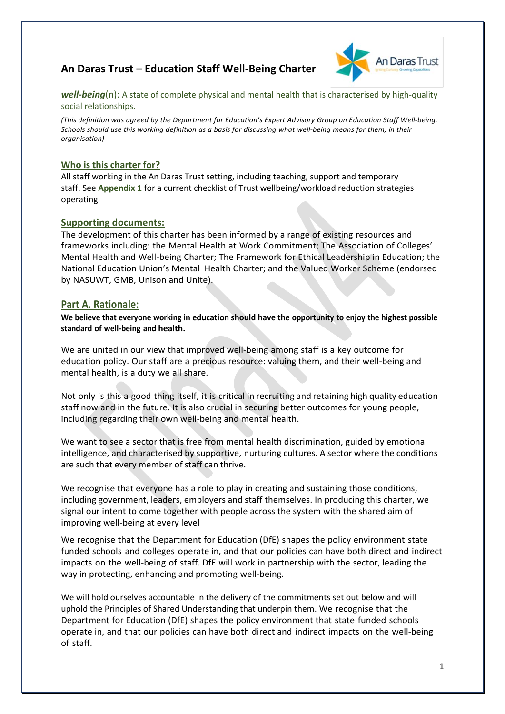# **An Daras Trust – Education Staff Well-Being Charter**



*well-being*(n): A state of complete physical and mental health that is characterised by high-quality social relationships.

(This definition was agreed by the Department for Education's Expert Advisory Group on Education Staff Well-being. Schools should use this working definition as a basis for discussing what well-being means for them, in their *organisation)*

#### **Who is this charter for?**

All staff working in the An Daras Trust setting, including teaching, support and temporary staff. See **Appendix 1** for a current checklist of Trust wellbeing/workload reduction strategies operating.

#### **Supporting documents:**

The development of this charter has been informed by a range of existing resources and frameworks including: the Mental Health at Work [Commitment;](https://www.mentalhealthatwork.org.uk/commitment/) The [Association](https://www.aoc.co.uk/mental-health-and-wellbeing-charter) of Colleges' Mental Health and [Well-being](https://www.aoc.co.uk/mental-health-and-wellbeing-charter) Charter; The [Framework](https://www.ascl.org.uk/Help-and-Advice/Leadership-and-governance/Strategic-planning/Framework-for-ethical-leadership-in-education) for Ethical [Leadership in Education;](https://www.ascl.org.uk/Help-and-Advice/Leadership-and-governance/Strategic-planning/Framework-for-ethical-leadership-in-education) the National Education [Union's Mental Health](https://neu.org.uk/advice/neu-mental-health-charter) Charter; and the [Valued](https://www.nasuwt.org.uk/news/campaigns/valued-worker-scheme.html) Worker [Scheme](https://www.nasuwt.org.uk/news/campaigns/valued-worker-scheme.html) (endorsed by NASUWT, GMB, Unison and Unite).

### **Part A. Rationale:**

**We believe that everyone working in education should have the opportunity to enjoy the highest possible standard of well-being and health.**

We are united in our view that improved well-being among staff is a key outcome for education policy. Our staff are a precious resource: valuing them, and their well-being and mental health, is a duty we all share.

Not only is this a good thing itself, it is critical in recruiting and retaining high quality education staff now and in the future. It is also crucial in securing better outcomes for young people, including regarding their own well-being and mental health.

We want to see a sector that is free from mental health discrimination, guided by emotional intelligence, and characterised by supportive, nurturing cultures. A sector where the conditions are such that every member of staff can thrive.

We recognise that everyone has a role to play in creating and sustaining those conditions, including government, leaders, employers and staff themselves. In producing this charter, we signal our intent to come together with people across the system with the shared aim of improving well-being at every level

We recognise that the Department for Education (DfE) shapes the policy environment state funded schools and colleges operate in, and that our policies can have both direct and indirect impacts on the well-being of staff. DfE will work in partnership with the sector, leading the way in protecting, enhancing and promoting well-being.

We will hold ourselves accountable in the delivery of the commitments set out below and will uphold the Principles of Shared Understanding that underpin them. We recognise that the Department for Education (DfE) shapes the policy environment that state funded schools operate in, and that our policies can have both direct and indirect impacts on the well-being of staff.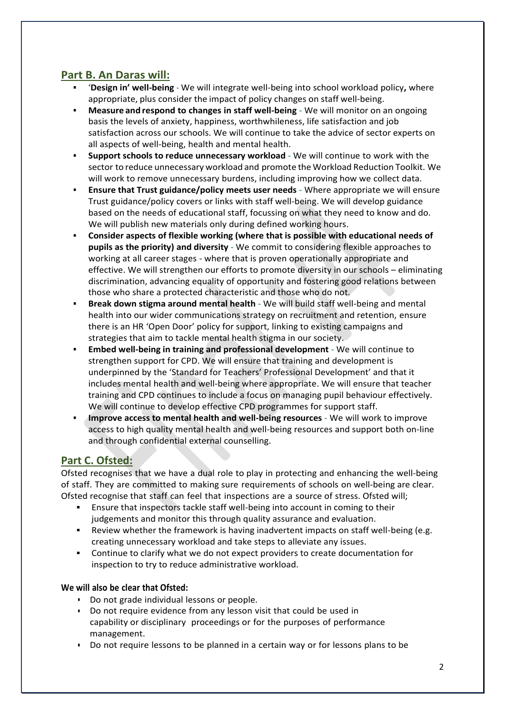## **Part B. An Daras will:**

- '**Design in' well-being**  We will integrate well-being into school workload policy**,** where appropriate, plus consider the impact of policy changes on staff well-being.
- **Measure and respond to changes in staff well-being** We will monitor on an ongoing basis the levels of anxiety, happiness, worthwhileness, life satisfaction and job satisfaction across our schools. We will continue to take the advice of sector experts on all aspects of well-being, health and mental health.
- **Support schools to reduce unnecessary workload** We will continue to work with the sector to reduce unnecessary workload and promote the Workload Reduction Toolkit. We will work to remove unnecessary burdens, including improving how we collect data.
- **Ensure that Trust guidance/policy meets user needs** Where appropriate we will ensure Trust guidance/policy covers or links with staff well-being. We will develop guidance based on the needs of educational staff, focussing on what they need to know and do. We will publish new materials only during defined working hours.
- **Consider aspects of flexible working (where that is possible with educational needs of pupils as the priority) and diversity** - We commit to considering flexible approaches to working at all career stages - where that is proven operationally appropriate and effective. We will strengthen our efforts to promote diversity in our schools – eliminating discrimination, advancing equality of opportunity and fostering good relations between those who share a protected characteristic and those who do not.
- **Break down stigma around mental health** We will build staff well-being and mental health into our wider communications strategy on recruitment and retention, ensure there is an HR 'Open Door' policy for support, linking to existing campaigns and strategies that aim to tackle mental health stigma in our society.
- **Embed well-being in training and professional development**  We will continue to strengthen support for CPD. We will ensure that training and development is underpinned by the 'Standard for Teachers' Professional Development' and that it includes mental health and well-being where appropriate. We will ensure that teacher training and CPD continues to include a focus on managing pupil behaviour effectively. We will continue to develop effective CPD programmes for support staff.
- **Improve access to mental health and well-being resources** We will work to improve access to high quality mental health and well-being resources and support both on-line and through confidential external counselling.

## **Part C. Ofsted:**

Ofsted recognises that we have a dual role to play in protecting and enhancing the well-being of staff. They are committed to making sure requirements of schools on well-being are clear. Ofsted recognise that staff can feel that inspections are a source of stress. Ofsted will;

- Ensure that inspectors tackle staff well-being into account in coming to their judgements and monitor this through quality assurance and evaluation.
- Review whether the framework is having inadvertent impacts on staff well-being (e.g. creating unnecessary workload and take steps to alleviate any issues.
- Continue to clarify what we do not expect providers to create documentation for inspection to try to reduce administrative workload.

### **We will also be clear that Ofsted:**

- Do not grade individual lessons or people.
- Do not require evidence from any lesson visit that could be used in capability or disciplinary proceedings or for the purposes of performance management.
- Do not require lessons to be planned in a certain way or for lessons plans to be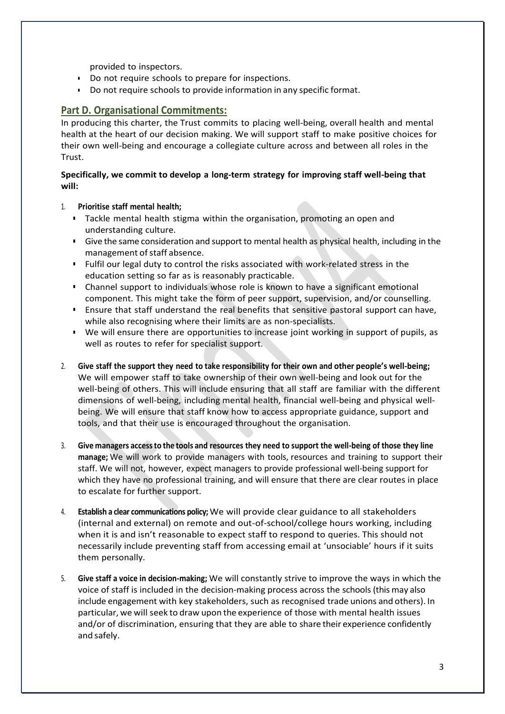provided to inspectors.

- **•** Do not require schools to prepare for inspections.
- Do not require schools to provide information in any specific format.

## **Part D. Organisational Commitments:**

In producing this charter, the Trust commits to placing well-being, overall health and mental health at the heart of our decision making. We will support staff to make positive choices for their own well-being and encourage a collegiate culture across and between all roles in the Trust.

#### **Specifically, we commit to develop a long-term strategy for improving staff well-being that will:**

- 1. **Prioritise staff mental health;**
	- Tackle mental health stigma within the organisation, promoting an open and understanding culture.
	- **EXECT ADDET FIGHT CONSTANCE THE SAME CONSTANCE IS A SET ALLO FIGURE IN THE STANDED IN THE STANDED IN THE STANDED IN the STANDED STANDED IN the STANDED IN the STANDED IN the STANDED IN the STANDED IN THE STANDED IN THE STA** management of staff absence.
	- **.** Fulfil our legal duty to control the risks associated with work-related stress in the education setting so far as is reasonably practicable.
	- Channel support to individuals whose role is known to have a significant emotional component. This might take the form of peer support, supervision, and/or counselling.
	- **E** Ensure that staff understand the real benefits that sensitive pastoral support can have, while also recognising where their limits are as non-specialists.
	- We will ensure there are opportunities to increase joint working in support of pupils, as well as routes to refer for specialist support.
- 2. **Give staff the support they need to take responsibility for their own and other people's well-being;** We will empower staff to take ownership of their own well-being and look out for the well-being of others. This will include ensuring that all staff are familiar with the different dimensions of well-being, including mental health, financial well-being and physical wellbeing. We will ensure that staff know how to access appropriate guidance, support and tools, and that their use is encouraged throughout the organisation.
- 3. **Give managers accessto the tools and resources they need to support the well-being of those they line manage;** We will work to provide managers with tools, resources and training to support their staff. We will not, however, expect managers to provide professional well-being support for which they have no professional training, and will ensure that there are clear routes in place to escalate for further support.
- 4. **Establish a clear communications policy;** We will provide clear guidance to all stakeholders (internal and external) on remote and out-of-school/college hours working, including when it is and isn't reasonable to expect staff to respond to queries. This should not necessarily include preventing staff from accessing email at 'unsociable' hours if it suits them personally.
- 5. **Give staff a voice in decision-making;** We will constantly strive to improve the ways in which the voice of staff is included in the decision-making process across the schools (this may also include engagement with key stakeholders, such as recognised trade unions and others). In particular, we will seek to draw upon the experience of those with mental health issues and/or of discrimination, ensuring that they are able to share their experience confidently and safely.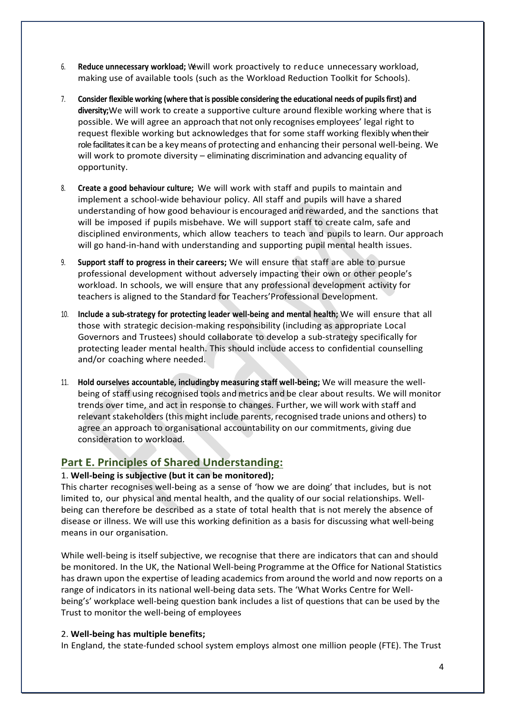- 6. **Reduce unnecessary workload;** Wewill work proactively to reduce unnecessary workload, making use of available tools (such as the Workload Reduction Toolkit for Schools).
- 7. **Consider flexible working (where that is possible considering the educational needs of pupils first) and diversity;**We will work to create a supportive culture around flexible working where that is possible. We will agree an approach that not only recognises employees' legal right to request flexible working but acknowledges that for some staff working flexibly when their role facilitates it can be a keymeans of protecting and enhancing their personal well-being. We will work to promote diversity – eliminating discrimination and advancing equality of opportunity.
- 8. **Create a good behaviour culture;** We will work with staff and pupils to maintain and implement a school-wide behaviour policy. All staff and pupils will have a shared understanding of how good behaviour is encouraged and rewarded, and the sanctions that will be imposed if pupils misbehave. We will support staff to create calm, safe and disciplined environments, which allow teachers to teach and pupils to learn. Our approach will go hand-in-hand with understanding and supporting pupil mental health issues.
- 9. **Support staff to progress in their careers;** We will ensure that staff are able to pursue professional development without adversely impacting their own or other people's workload. In schools, we will ensure that any professional development activity for teachers is aligned to the Standard for Teachers'Professional Development.
- 10. **Include a sub-strategy for protecting leader well-being and mental health;** We will ensure that all those with strategic decision-making responsibility (including as appropriate Local Governors and Trustees) should collaborate to develop a sub-strategy specifically for protecting leader mental health. This should include access to confidential counselling and/or coaching where needed.
- 11. **Hold ourselves accountable, includingby measuring staff well-being;** We will measure the wellbeing of staff using recognised tools and metrics and be clear about results. We will monitor trends over time, and act in response to changes. Further, we will work with staff and relevant stakeholders (this might include parents, recognised trade unions and others) to agree an approach to organisational accountability on our commitments, giving due consideration to workload.

### **Part E. Principles of Shared Understanding:**

#### 1. **Well-being is subjective (but it can be monitored);**

This charter recognises well-being as a sense of 'how we are doing' that includes, but is not limited to, our physical and mental health, and the quality of our social relationships. Wellbeing can therefore be described as a state of total health that is not merely the absence of disease or illness. We will use this working definition as a basis for discussing what well-being means in our organisation.

While well-being is itself subjective, we recognise that there are indicators that can and should be monitored. In the UK, the National Well-being Programme at the Office for National Statistics has drawn upon the expertise of leading academics from around the world and now reports on a range of indicators in its national well-being data sets. The 'What Works Centre for Wellbeing's' workplace well-being question bank includes a list of questions that can be used by the Trust to monitor the well-being of employees

#### 2. **Well-being has multiple benefits;**

In England, the state-funded school system employs almost one million people (FTE). The Trust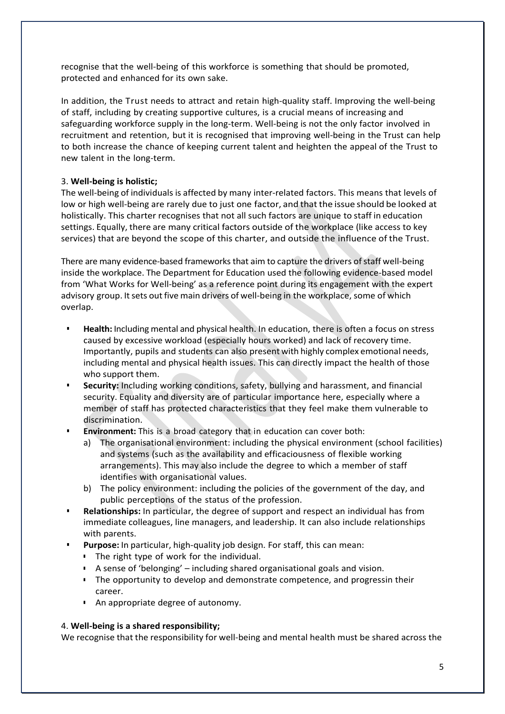recognise that the well-being of this workforce is something that should be promoted, protected and enhanced for its own sake.

In addition, the Trust needs to attract and retain high-quality staff. Improving the well-being of staff, including by creating supportive cultures, is a crucial means of increasing and safeguarding workforce supply in the long-term. Well-being is not the only factor involved in recruitment and retention, but it is recognised that improving well-being in the Trust can help to both increase the chance of keeping current talent and heighten the appeal of the Trust to new talent in the long-term.

#### 3. **Well-being is holistic;**

The well-being of individuals is affected by many inter-related factors. This means that levels of low or high well-being are rarely due to just one factor, and that the issue should be looked at holistically. This charter recognises that not all such factors are unique to staff in education settings. Equally, there are many critical factors outside of the workplace (like access to key services) that are beyond the scope of this charter, and outside the influence of the Trust.

There are many evidence-based frameworks that aim to capture the drivers of staff well-being inside the workplace. The Department for Education used the following evidence-based model from 'What Works for Well-being' as a reference point during its engagement with the expert advisory group. It sets out five main drivers of well-being in the workplace, some of which overlap.

- Health: Including mental and physical health. In education, there is often a focus on stress caused by excessive workload (especially hours worked) and lack of recovery time. Importantly, pupils and students can also present with highly complex emotional needs, including mental and physical health issues. This can directly impact the health of those who support them.
- **Security:** Including working conditions, safety, bullying and harassment, and financial security. Equality and diversity are of particular importance here, especially where a member of staff has protected characteristics that they feel make them vulnerable to discrimination.
- **Environment:** This is a broad category that in education can cover both:
	- a) The organisational environment: including the physical environment (school facilities) and systems (such as the availability and efficaciousness of flexible working arrangements). This may also include the degree to which a member of staff identifies with organisational values.
	- b) The policy environment: including the policies of the government of the day, and public perceptions of the status of the profession.
- **Relationships:** In particular, the degree of support and respect an individual has from immediate colleagues, line managers, and leadership. It can also include relationships with parents.
- Purpose: In particular, high-quality job design. For staff, this can mean:
	- The right type of work for the individual.
	- A sense of 'belonging' including shared organisational goals and vision.
	- The opportunity to develop and demonstrate competence, and progressin their career.
	- An appropriate degree of autonomy.

#### 4. **Well-being is a shared responsibility;**

We recognise that the responsibility for well-being and mental health must be shared across the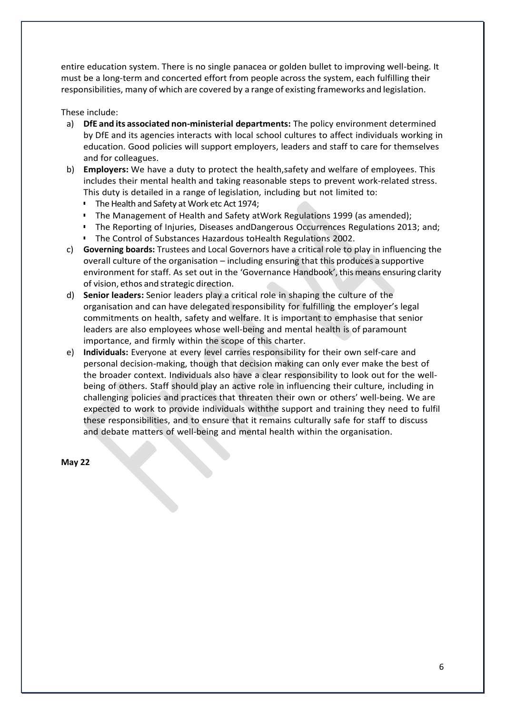entire education system. There is no single panacea or golden bullet to improving well-being. It must be a long-term and concerted effort from people across the system, each fulfilling their responsibilities, many of which are covered by a range of existing frameworks and legislation.

#### These include:

- a) **DfE and its associated non-ministerial departments:** The policy environment determined by DfE and its agencies interacts with local school cultures to affect individuals working in education. Good policies will support employers, leaders and staff to care for themselves and for colleagues.
- b) **Employers:** We have a duty to protect the health,safety and welfare of employees. This includes their mental health and taking reasonable steps to prevent work-related stress. This duty is detailed in a range of legislation, including but not limited to:
	- The Health and Safety at Work etc Act 1974;
	- The Management of Health and Safety atWork Regulations 1999 (as amended);
	- **The Reporting of Injuries, Diseases andDangerous Occurrences Regulations 2013; and;** ▪ The Control of Substances Hazardous toHealth Regulations 2002.
- c) **Governing boards:** Trustees and Local Governors have a critical role to play in influencing the overall culture of the organisation – including ensuring that this produces a supportive environment for staff. As set out in the 'Governance Handbook', this means ensuring clarity of vision, ethos and strategic direction.
- d) **Senior leaders:** Senior leaders play a critical role in shaping the culture of the organisation and can have delegated responsibility for fulfilling the employer's legal commitments on health, safety and welfare. It is important to emphasise that senior leaders are also employees whose well-being and mental health is of paramount importance, and firmly within the scope of this charter.
- e) **Individuals:** Everyone at every level carries responsibility for their own self-care and personal decision-making, though that decision making can only ever make the best of the broader context. Individuals also have a clear responsibility to look out for the wellbeing of others. Staff should play an active role in influencing their culture, including in challenging policies and practices that threaten their own or others' well-being. We are expected to work to provide individuals withthe support and training they need to fulfil these responsibilities, and to ensure that it remains culturally safe for staff to discuss and debate matters of well-being and mental health within the organisation.

**May 22**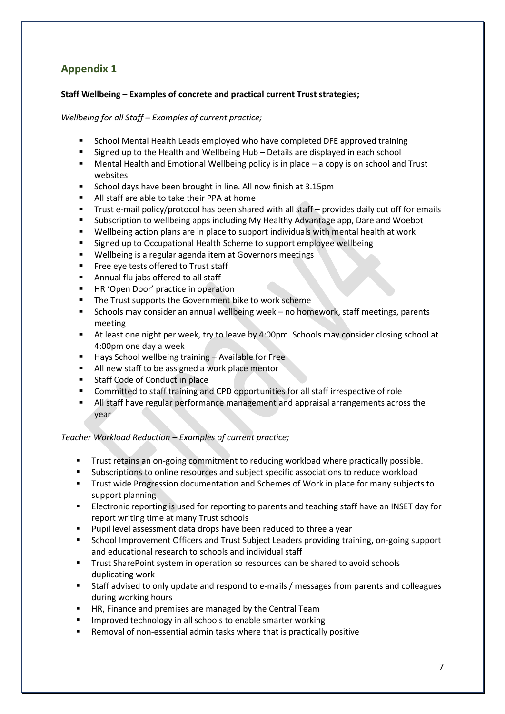## **Appendix 1**

#### **Staff Wellbeing – Examples of concrete and practical current Trust strategies;**

#### *Wellbeing for all Staff – Examples of current practice;*

- School Mental Health Leads employed who have completed DFE approved training
- Signed up to the Health and Wellbeing Hub Details are displayed in each school
- Mental Health and Emotional Wellbeing policy is in place a copy is on school and Trust websites
- School days have been brought in line. All now finish at 3.15pm
- All staff are able to take their PPA at home
- **■** Trust e-mail policy/protocol has been shared with all staff provides daily cut off for emails
- Subscription to wellbeing apps including My Healthy Advantage app, Dare and Woebot
- Wellbeing action plans are in place to support individuals with mental health at work
- Signed up to Occupational Health Scheme to support employee wellbeing
- Wellbeing is a regular agenda item at Governors meetings
- Free eye tests offered to Trust staff
- Annual flu jabs offered to all staff
- HR 'Open Door' practice in operation
- The Trust supports the Government bike to work scheme
- Schools may consider an annual wellbeing week no homework, staff meetings, parents meeting
- At least one night per week, try to leave by 4:00pm. Schools may consider closing school at 4:00pm one day a week
- Hays School wellbeing training Available for Free
- All new staff to be assigned a work place mentor
- Staff Code of Conduct in place
- Committed to staff training and CPD opportunities for all staff irrespective of role
- All staff have regular performance management and appraisal arrangements across the year

#### *Teacher Workload Reduction – Examples of current practice;*

- Trust retains an on-going commitment to reducing workload where practically possible.
- Subscriptions to online resources and subject specific associations to reduce workload
- **■** Trust wide Progression documentation and Schemes of Work in place for many subjects to support planning
- Electronic reporting is used for reporting to parents and teaching staff have an INSET day for report writing time at many Trust schools
- Pupil level assessment data drops have been reduced to three a year
- School Improvement Officers and Trust Subject Leaders providing training, on-going support and educational research to schools and individual staff
- Trust SharePoint system in operation so resources can be shared to avoid schools duplicating work
- Staff advised to only update and respond to e-mails / messages from parents and colleagues during working hours
- HR. Finance and premises are managed by the Central Team
- Improved technology in all schools to enable smarter working
- Removal of non-essential admin tasks where that is practically positive